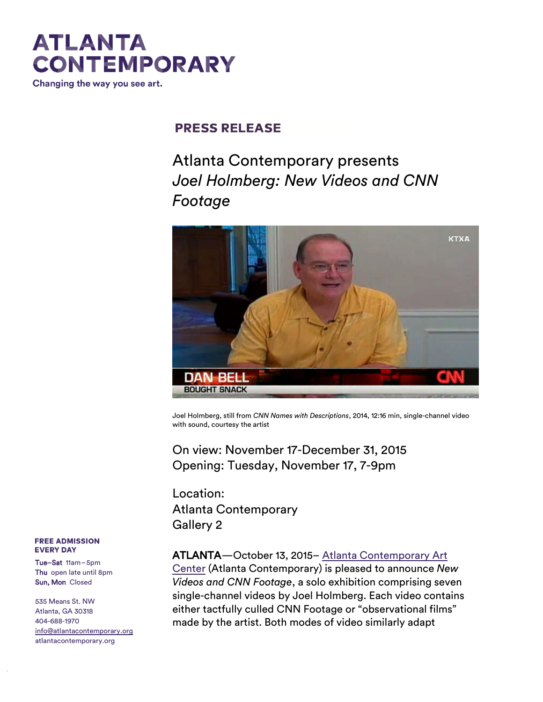# **ATLANTA CONTEMPORARY**

Changing the way you see art.

## **PRESS RELEASE**

# Atlanta Contemporary presents *Joel Holmberg: New Videos and CNN Footage*



Joel Holmberg, still from *CNN Names with Descriptions*, 2014, 12:16 min, single-channel video with sound, courtesy the artist

On view: November 17-December 31, 2015 Opening: Tuesday, November 17, 7-9pm

Location: Atlanta Contemporary Gallery 2

### ATLANTA—October 13, 2015– [Atlanta Contemporary Art](http://atlantacontemporary.org/)

[Center](http://atlantacontemporary.org/) (Atlanta Contemporary) is pleased to announce *New Videos and CNN Footage*, a solo exhibition comprising seven single-channel videos by Joel Holmberg. Each video contains either tactfully culled CNN Footage or "observational films" made by the artist. Both modes of video similarly adapt

#### **FREE ADMISSION EVERY DAY**

t hecont emporary.org

Tue–Sat 11am–5pm Thu open late until 8pm Sun, Mon Closed

535 Means St. NW Atlanta, GA 30318 404-688-1970 [info@atlantacontemporary.org](mailto:info@atlantacontemporary.org) atlantacontemporary.org